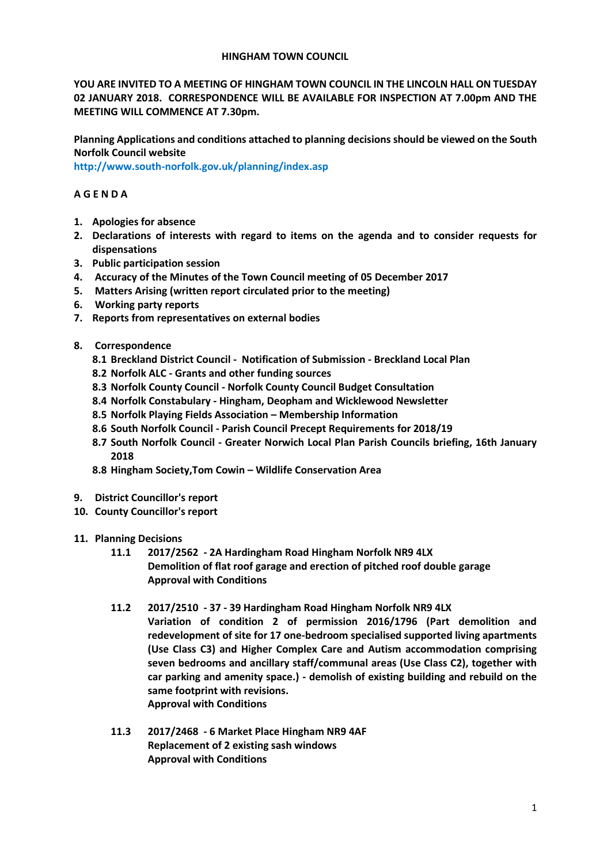## **HINGHAM TOWN COUNCIL**

**YOU ARE INVITED TO A MEETING OF HINGHAM TOWN COUNCIL IN THE LINCOLN HALL ON TUESDAY 02 JANUARY 2018. CORRESPONDENCE WILL BE AVAILABLE FOR INSPECTION AT 7.00pm AND THE MEETING WILL COMMENCE AT 7.30pm.** 

**Planning Applications and conditions attached to planning decisions should be viewed on the South Norfolk Council website** 

**<http://www.south-norfolk.gov.uk/planning/index.asp>**

# **A G E N D A**

- **1. Apologies for absence**
- **2. Declarations of interests with regard to items on the agenda and to consider requests for dispensations**
- **3. Public participation session**
- **4. Accuracy of the Minutes of the Town Council meeting of 05 December 2017**
- **5. Matters Arising (written report circulated prior to the meeting)**
- **6. Working party reports**
- **7. Reports from representatives on external bodies**
- **8. Correspondence**
	- **8.1 Breckland District Council - Notification of Submission - Breckland Local Plan**
	- **8.2 Norfolk ALC - Grants and other funding sources**
	- **8.3 Norfolk County Council - Norfolk County Council Budget Consultation**
	- **8.4 Norfolk Constabulary - Hingham, Deopham and Wicklewood Newsletter**
	- **8.5 Norfolk Playing Fields Association – Membership Information**
	- **8.6 South Norfolk Council - Parish Council Precept Requirements for 2018/19**
	- **8.7 South Norfolk Council - Greater Norwich Local Plan Parish Councils briefing, 16th January 2018**
	- **8.8 Hingham Society,Tom Cowin – Wildlife Conservation Area**
- **9. District Councillor's report**
- **10. County Councillor's report**
- **11. Planning Decisions**
	- **11.1 2017/2562 - 2A Hardingham Road Hingham Norfolk NR9 4LX Demolition of flat roof garage and erection of pitched roof double garage Approval with Conditions**
	- **11.2 2017/2510 - 37 - 39 Hardingham Road Hingham Norfolk NR9 4LX Variation of condition 2 of permission 2016/1796 (Part demolition and redevelopment of site for 17 one-bedroom specialised supported living apartments (Use Class C3) and Higher Complex Care and Autism accommodation comprising seven bedrooms and ancillary staff/communal areas (Use Class C2), together with car parking and amenity space.) - demolish of existing building and rebuild on the same footprint with revisions.**
		- **Approval with Conditions**
	- **11.3 2017/2468 - 6 Market Place Hingham NR9 4AF Replacement of 2 existing sash windows Approval with Conditions**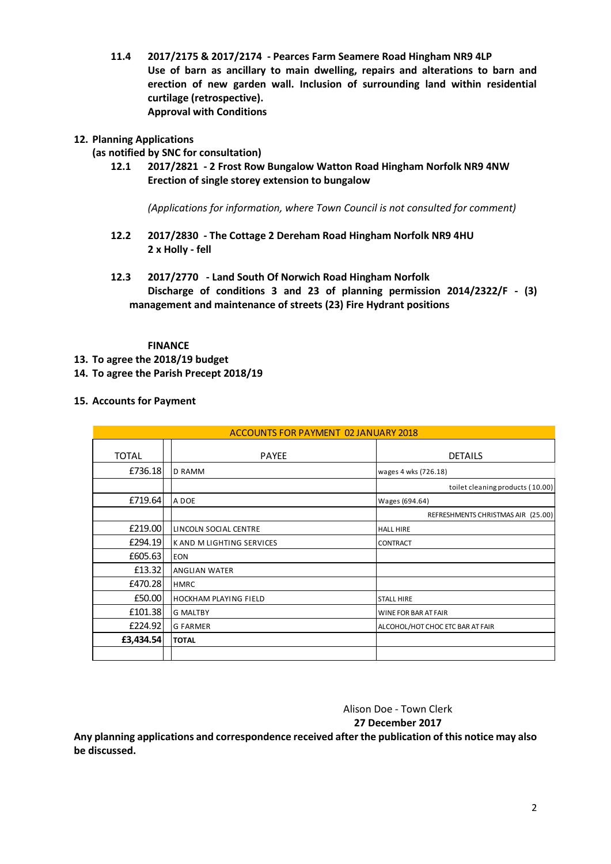**11.4 2017/2175 & 2017/2174 - Pearces Farm Seamere Road Hingham NR9 4LP Use of barn as ancillary to main dwelling, repairs and alterations to barn and erection of new garden wall. Inclusion of surrounding land within residential curtilage (retrospective). Approval with Conditions**

# **12. Planning Applications**

## **(as notified by SNC for consultation)**

**12.1 2017/2821 - 2 Frost Row Bungalow Watton Road Hingham Norfolk NR9 4NW Erection of single storey extension to bungalow** 

*(Applications for information, where Town Council is not consulted for comment)*

- **12.2 2017/2830 - The Cottage 2 Dereham Road Hingham Norfolk NR9 4HU 2 x Holly - fell**
- **12.3 2017/2770 - Land South Of Norwich Road Hingham Norfolk Discharge of conditions 3 and 23 of planning permission 2014/2322/F - (3) management and maintenance of streets (23) Fire Hydrant positions**

### **FINANCE**

- **13. To agree the 2018/19 budget**
- **14. To agree the Parish Precept 2018/19**
- **15. Accounts for Payment**

| ACCOUNTS FOR PAYMENT 02 JANUARY 2018 |                              |                                    |
|--------------------------------------|------------------------------|------------------------------------|
| <b>TOTAL</b>                         | <b>PAYEE</b>                 | <b>DETAILS</b>                     |
| £736.18                              | <b>D RAMM</b>                | wages 4 wks (726.18)               |
|                                      |                              | toilet cleaning products (10.00)   |
| £719.64                              | A DOE                        | Wages (694.64)                     |
|                                      |                              | REFRESHMENTS CHRISTMAS AIR (25.00) |
| £219.00                              | LINCOLN SOCIAL CENTRE        | <b>HALL HIRE</b>                   |
| £294.19                              | K AND M LIGHTING SERVICES    | <b>CONTRACT</b>                    |
| £605.63                              | <b>EON</b>                   |                                    |
| £13.32                               | <b>ANGLIAN WATER</b>         |                                    |
| £470.28                              | <b>HMRC</b>                  |                                    |
| £50.00                               | <b>HOCKHAM PLAYING FIELD</b> | <b>STALL HIRE</b>                  |
| £101.38                              | <b>G MALTBY</b>              | WINE FOR BAR AT FAIR               |
| £224.92                              | <b>G FARMER</b>              | ALCOHOL/HOT CHOC ETC BAR AT FAIR   |
| £3,434.54                            | <b>TOTAL</b>                 |                                    |
|                                      |                              |                                    |

Alison Doe - Town Clerk **27 December 2017**

**Any planning applications and correspondence received after the publication of this notice may also be discussed.**